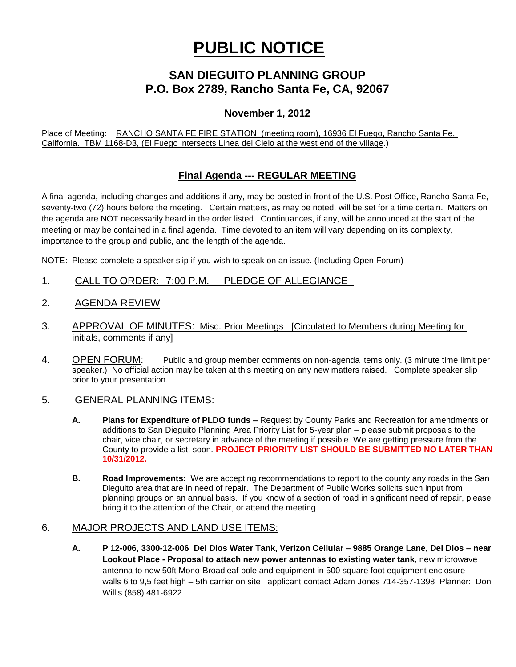# **PUBLIC NOTICE**

# **SAN DIEGUITO PLANNING GROUP P.O. Box 2789, Rancho Santa Fe, CA, 92067**

# **November 1, 2012**

Place of Meeting: RANCHO SANTA FE FIRE STATION (meeting room), 16936 El Fuego, Rancho Santa Fe, California. TBM 1168-D3, (El Fuego intersects Linea del Cielo at the west end of the village.)

# **Final Agenda --- REGULAR MEETING**

A final agenda, including changes and additions if any, may be posted in front of the U.S. Post Office, Rancho Santa Fe, seventy-two (72) hours before the meeting. Certain matters, as may be noted, will be set for a time certain. Matters on the agenda are NOT necessarily heard in the order listed. Continuances, if any, will be announced at the start of the meeting or may be contained in a final agenda. Time devoted to an item will vary depending on its complexity, importance to the group and public, and the length of the agenda.

NOTE: Please complete a speaker slip if you wish to speak on an issue. (Including Open Forum)

- 1. CALL TO ORDER: 7:00 P.M. PLEDGE OF ALLEGIANCE
- 2. AGENDA REVIEW
- 3. APPROVAL OF MINUTES: Misc. Prior Meetings [Circulated to Members during Meeting for initials, comments if any]
- 4. OPEN FORUM: Public and group member comments on non-agenda items only. (3 minute time limit per speaker.) No official action may be taken at this meeting on any new matters raised. Complete speaker slip prior to your presentation.

## 5. GENERAL PLANNING ITEMS:

- **A. Plans for Expenditure of PLDO funds –** Request by County Parks and Recreation for amendments or additions to San Dieguito Planning Area Priority List for 5-year plan – please submit proposals to the chair, vice chair, or secretary in advance of the meeting if possible. We are getting pressure from the County to provide a list, soon. **PROJECT PRIORITY LIST SHOULD BE SUBMITTED NO LATER THAN 10/31/2012.**
- **B. Road Improvements:** We are accepting recommendations to report to the county any roads in the San Dieguito area that are in need of repair. The Department of Public Works solicits such input from planning groups on an annual basis. If you know of a section of road in significant need of repair, please bring it to the attention of the Chair, or attend the meeting.

## 6. MAJOR PROJECTS AND LAND USE ITEMS:

**A. P 12-006, 3300-12-006 Del Dios Water Tank, Verizon Cellular – 9885 Orange Lane, Del Dios – near Lookout Place - Proposal to attach new power antennas to existing water tank,** new microwave antenna to new 50ft Mono-Broadleaf pole and equipment in 500 square foot equipment enclosure – walls 6 to 9,5 feet high – 5th carrier on site applicant contact Adam Jones 714-357-1398 Planner: Don Willis (858) 481-6922